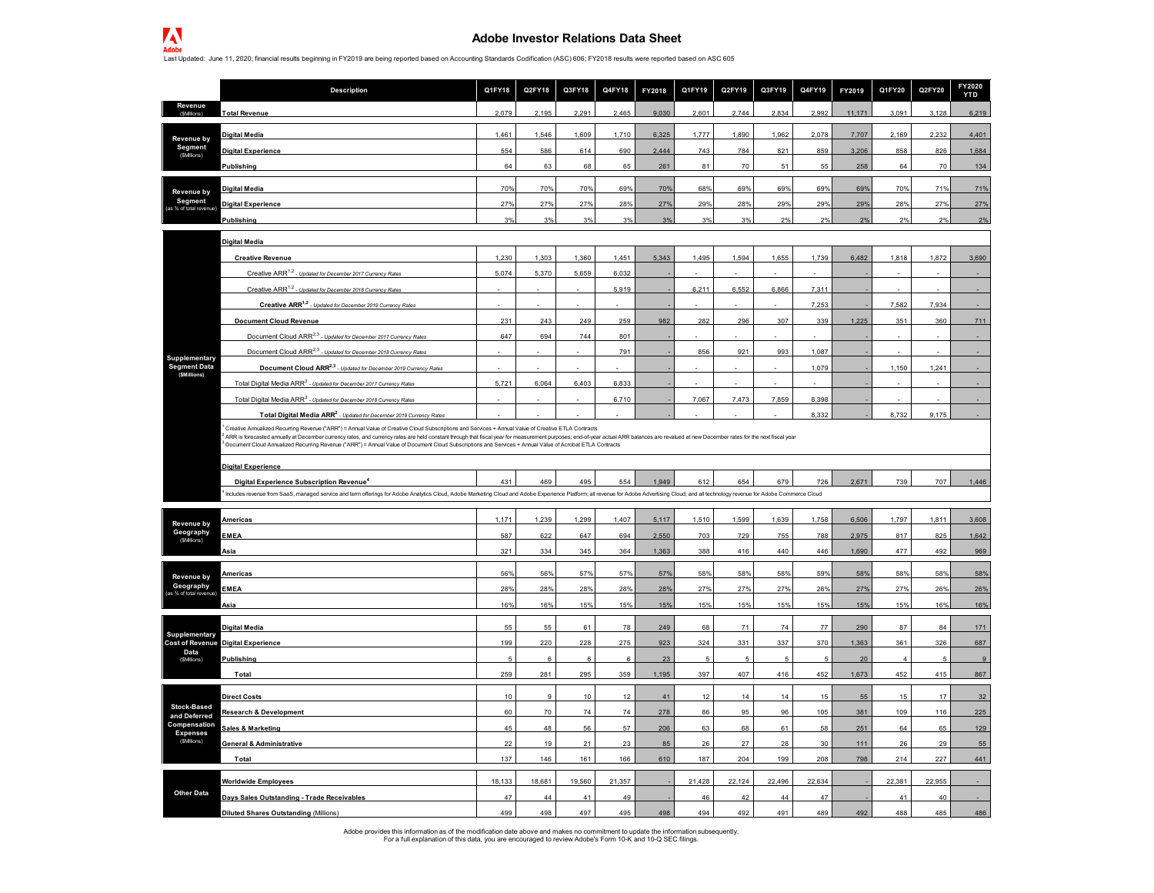## **Adobe Investor Relations Data Sheet**

Last Updated: June 11, 2020; financial results beginning in FY2019 are being reported based on Accounting Standards Codification (ASC) 606; FY2018 results were reported based on ASC 605

|                                     | Description                                                                                                                                                                                                                                                                                                                                                                                                                                                                                                                                       | Q1FY18   | Q2FY18 | Q3FY18 | Q4FY18 | FY2018     | Q1FY19 | Q2FY19   | Q3FY19 | Q4FY19    | FY2019     | Q1FY20    | Q2FY20 | FY2020<br><b>YTD</b> |
|-------------------------------------|---------------------------------------------------------------------------------------------------------------------------------------------------------------------------------------------------------------------------------------------------------------------------------------------------------------------------------------------------------------------------------------------------------------------------------------------------------------------------------------------------------------------------------------------------|----------|--------|--------|--------|------------|--------|----------|--------|-----------|------------|-----------|--------|----------------------|
| Revenue<br>(SMillions)              | <b>Total Revenue</b>                                                                                                                                                                                                                                                                                                                                                                                                                                                                                                                              | 2,079    | 2,195  | 2,291  | 2,465  | 9,030      | 2,601  | 2,744    | 2,834  | 2,992     | 11,171     | 3,091     | 3,128  | 6,219                |
| Revenue by                          | <b>Digital Media</b>                                                                                                                                                                                                                                                                                                                                                                                                                                                                                                                              | 1,461    | 1,546  | 1,609  | 1,710  | 6,325      | 1,777  | 1,890    | 1,962  | 2,078     | 7,707      | 2,169     | 2,232  | 4,401                |
| Segment                             | <b>Digital Experience</b>                                                                                                                                                                                                                                                                                                                                                                                                                                                                                                                         | 554      | 586    | 614    | 690    | 2,444      | 743    | 784      | 821    | 859       | 3,206      | 858       | 826    | 1,684                |
| (SMilions)                          | Publishing                                                                                                                                                                                                                                                                                                                                                                                                                                                                                                                                        | 64       | 63     | 68     | 65     | 261        | 81     | 70       | 51     | 55        | 258        | 64        | 70     | 134                  |
| Revenue by                          | <b>Digital Media</b>                                                                                                                                                                                                                                                                                                                                                                                                                                                                                                                              | 70%      | 70%    | 70%    | 69%    | 70%        | 68%    | 69%      | 69%    | 69%       | 69%        | 70%       | 71%    | 71%                  |
| Segment<br>% of total revenue       | <b>Digital Experience</b>                                                                                                                                                                                                                                                                                                                                                                                                                                                                                                                         | 27%      | 27%    | 27%    | 28%    | 27%        | 29%    | 28%      | 29%    | 29%       | 29%        | 28%       | 27%    | 27%                  |
|                                     | Publishing                                                                                                                                                                                                                                                                                                                                                                                                                                                                                                                                        | 3%       | 3%     | 3%     | 3%     | 3%         | 3%     | 3%       | 2%     | 2%        | 2%         | 2%        | 2%     | 2%                   |
|                                     | <b>Digital Media</b>                                                                                                                                                                                                                                                                                                                                                                                                                                                                                                                              |          |        |        |        |            |        |          |        |           |            |           |        |                      |
|                                     | <b>Creative Revenue</b>                                                                                                                                                                                                                                                                                                                                                                                                                                                                                                                           | 1.230    | 1.303  | 1.360  | 1.451  | 5.343      | 1.495  | 1.594    | 1,655  | 1.739     | 6.482      | 1.818     | 1.872  | 3,690                |
|                                     | Creative ARR <sup>1,2</sup> - Updated for December 2017 Currency Rates                                                                                                                                                                                                                                                                                                                                                                                                                                                                            | 5,074    | 5,370  | 5,659  | 6,032  |            |        |          |        |           |            |           |        |                      |
|                                     | Creative ARR <sup>1,2</sup> - Updated for December 2018 Currency Rates                                                                                                                                                                                                                                                                                                                                                                                                                                                                            |          |        |        | 5,919  |            | 6,211  | 6,552    | 6,866  | 7,311     |            |           |        |                      |
|                                     | Creative ARR <sup>1,2</sup> - Updated for December 2019 Currency Rate                                                                                                                                                                                                                                                                                                                                                                                                                                                                             |          |        |        |        |            |        |          |        | 7,253     |            | 7,582     | 7,934  |                      |
|                                     | <b>Document Cloud Revenue</b>                                                                                                                                                                                                                                                                                                                                                                                                                                                                                                                     | 231      | 243    | 249    | 259    | 982        | 282    | 296      | 307    | 339       | 1,225      | 351       | 360    | 711                  |
|                                     | Document Cloud ARR <sup>2,3</sup> - Updated for December 2017 Currency Rates                                                                                                                                                                                                                                                                                                                                                                                                                                                                      | 647      | 694    | 744    | 801    |            |        |          |        |           |            |           |        |                      |
| Supplementary                       | Document Cloud ARR <sup>2,3</sup> - Updated for December 2018 Currency Rate                                                                                                                                                                                                                                                                                                                                                                                                                                                                       |          |        |        | 791    |            | 856    | 921      | 993    | 1,087     |            |           |        |                      |
| <b>Segment Data</b><br>(\$Millions) | Document Cloud ARR <sup>2,3</sup> - Updated for December 2019 Currency Rate.                                                                                                                                                                                                                                                                                                                                                                                                                                                                      |          |        |        |        |            |        |          |        | 1,079     |            | 1.150     | 1.241  |                      |
|                                     | Total Digital Media ARR <sup>2</sup> - Updated for December 2017 Currency Rates                                                                                                                                                                                                                                                                                                                                                                                                                                                                   | 5,721    | 6,064  | 6,403  | 6.833  |            |        |          |        |           |            |           |        |                      |
|                                     | Total Digital Media ARR <sup>2</sup> - Updated for December 2018 Currency Rates                                                                                                                                                                                                                                                                                                                                                                                                                                                                   |          |        |        | 6,710  |            | 7,067  | 7,473    | 7,859  | 8,398     |            |           |        |                      |
|                                     | Total Digital Media ARR <sup>2</sup> - Updated for December 2019 Currency Rates                                                                                                                                                                                                                                                                                                                                                                                                                                                                   |          |        |        |        |            |        |          |        | 8,332     |            | 8,732     | 9,175  |                      |
|                                     | Creative Annualized Recurring Revenue ("ARR") = Annual Value of Creative Cloud Subscriptions and Services + Annual Value of Creative ETLA Contracts<br>ARR is forecasted annually at December currency rates, and currency rates are held constant through that fiscal year for measurement purposes; end-of-year actual ARR balances are revalued at new December rates for the next<br>Document Cloud Annualized Recurring Revenue ("ARR") = Annual Value of Document Cloud Subscriptions and Services + Annual Value of Acrobat ETLA Contracts |          |        |        |        |            |        |          |        |           |            |           |        |                      |
|                                     | <b>Digital Experience</b>                                                                                                                                                                                                                                                                                                                                                                                                                                                                                                                         |          |        |        |        |            |        |          |        |           |            |           |        |                      |
|                                     | Digital Experience Subscription Revenue <sup>4</sup><br>Includes revenue from SaaS, managed service and term offerings for Adobe Analytics Cloud, Adobe Marketing Cloud and Adobe Experience Platform; all revenue for Adobe Advertising Cloud; and all technology revenue for Adobe C                                                                                                                                                                                                                                                            | 431      | 469    | 495    | 554    | 1,949      | 612    | 654      | 679    | 726       | 2,671      | 739       | 707    | 1,446                |
|                                     |                                                                                                                                                                                                                                                                                                                                                                                                                                                                                                                                                   |          |        |        |        |            |        |          |        |           |            |           |        |                      |
| Revenue by                          | Americas                                                                                                                                                                                                                                                                                                                                                                                                                                                                                                                                          | 1,171    | 1,239  | 1,299  | 1,407  | 5,117      | 1,510  | 1,599    | 1,639  | 1,758     | 6,506      | 1,797     | 1,811  | 3,608                |
| Geography<br>(SMillions)            | <b>EMEA</b>                                                                                                                                                                                                                                                                                                                                                                                                                                                                                                                                       | 587      | 622    | 647    | 694    | 2,550      | 703    | 729      | 755    | 788       | 2,975      | 817       | 825    | 1,642                |
|                                     | Asia                                                                                                                                                                                                                                                                                                                                                                                                                                                                                                                                              | 321      | 334    | 345    | 364    | 1.363      | 388    | 416      | 440    | 446       | 1.690      | 477       | 492    | 969                  |
| Revenue by                          | Americas                                                                                                                                                                                                                                                                                                                                                                                                                                                                                                                                          | 56%      | 56%    | 57%    | 57%    | 57%        | 58%    | 58%      | 58%    | 59%       | 58%        | 58%       | 58%    | 58%                  |
| Geography<br>as % of total revenue  | <b>EMEA</b>                                                                                                                                                                                                                                                                                                                                                                                                                                                                                                                                       | 28%      | 28%    | 28%    | 28%    | 28%        | 27%    | 27%      | 27%    | 26%       | 27%        | 27%       | 26%    | 26%                  |
|                                     | Asia                                                                                                                                                                                                                                                                                                                                                                                                                                                                                                                                              | 16%      | 16%    | 15%    | 15%    | 15%        | 15%    | 15%      | 15%    | 15%       | 15%        | 15%       | 16%    | 16%                  |
|                                     | <b>Digital Media</b>                                                                                                                                                                                                                                                                                                                                                                                                                                                                                                                              | 55       | 55     | 61     | 78     | 249        | 68     | 71       | 74     | 77        | 290        | 87        | 84     | 171                  |
| Supplementary                       | <b>Cost of Revenue Digital Experience</b>                                                                                                                                                                                                                                                                                                                                                                                                                                                                                                         | 199      | 220    | 228    | 275    | 923        | 324    | 331      | 337    | 370       | 1,363      | 361       | 326    | 687                  |
| Data<br>(\$Millions)                | <b>Publishing</b>                                                                                                                                                                                                                                                                                                                                                                                                                                                                                                                                 |          |        | 6      | 6      | 23         |        |          | 5      |           | 20         |           | -5     | $\mathbf{g}$         |
|                                     | Total                                                                                                                                                                                                                                                                                                                                                                                                                                                                                                                                             | 259      | 281    | 295    | 359    | 1,195      | 397    | 407      | 416    | 452       | 1,673      | 452       | 415    | 867                  |
|                                     |                                                                                                                                                                                                                                                                                                                                                                                                                                                                                                                                                   |          |        | 10     | 12     | 41         | 12     |          | 14     | 15        |            | 15        | 17     | 32                   |
| <b>Stock-Based</b>                  | <b>Direct Costs</b>                                                                                                                                                                                                                                                                                                                                                                                                                                                                                                                               | 10<br>60 | 70     | 74     | 74     |            | 86     | 14<br>95 | 96     |           | 55         |           | 116    |                      |
| and Deferred<br>Compensation        | <b>Research &amp; Development</b><br><b>Sales &amp; Marketing</b>                                                                                                                                                                                                                                                                                                                                                                                                                                                                                 | 45       | 48     | 56     | 57     | 278<br>206 | 63     | 68       | 61     | 105<br>58 | 381<br>251 | 109<br>64 | 65     | 225<br>129           |
| <b>Expenses</b><br>(\$Millions)     | <b>General &amp; Administrative</b>                                                                                                                                                                                                                                                                                                                                                                                                                                                                                                               | 22       | 19     | 21     | 23     | 85         | 26     | 27       | 28     | 30        | 111        | 26        | 29     | 55                   |
|                                     |                                                                                                                                                                                                                                                                                                                                                                                                                                                                                                                                                   | 137      | 146    | 161    | 166    | 610        | 187    | 204      | 199    |           | 798        | 214       | 227    | 441                  |
|                                     | Total                                                                                                                                                                                                                                                                                                                                                                                                                                                                                                                                             |          |        |        |        |            |        |          |        | 208       |            |           |        |                      |
|                                     | <b>Worldwide Employees</b>                                                                                                                                                                                                                                                                                                                                                                                                                                                                                                                        | 18,133   | 18,681 | 19,560 | 21,357 |            | 21,428 | 22,124   | 22,496 | 22,634    |            | 22,381    | 22,955 |                      |
| <b>Other Data</b>                   | Days Sales Outstanding - Trade Receivables                                                                                                                                                                                                                                                                                                                                                                                                                                                                                                        | 47       | 44     | 41     | 49     |            | 46     | 42       | 44     | 47        |            | 41        | 40     |                      |
|                                     | <b>Diluted Shares Outstanding (Millions)</b>                                                                                                                                                                                                                                                                                                                                                                                                                                                                                                      | 499      | 498    | 497    | 495    | 498        | 494    | 492      | 491    | 489       | 492        | 488       | 485    | 486                  |

Adobe provides this information as of the modification date above and makes no commitment to update the information subsequently.<br>For a full explanation of this data, you are encouraged to review Adobe's Form 10-K and 10-Q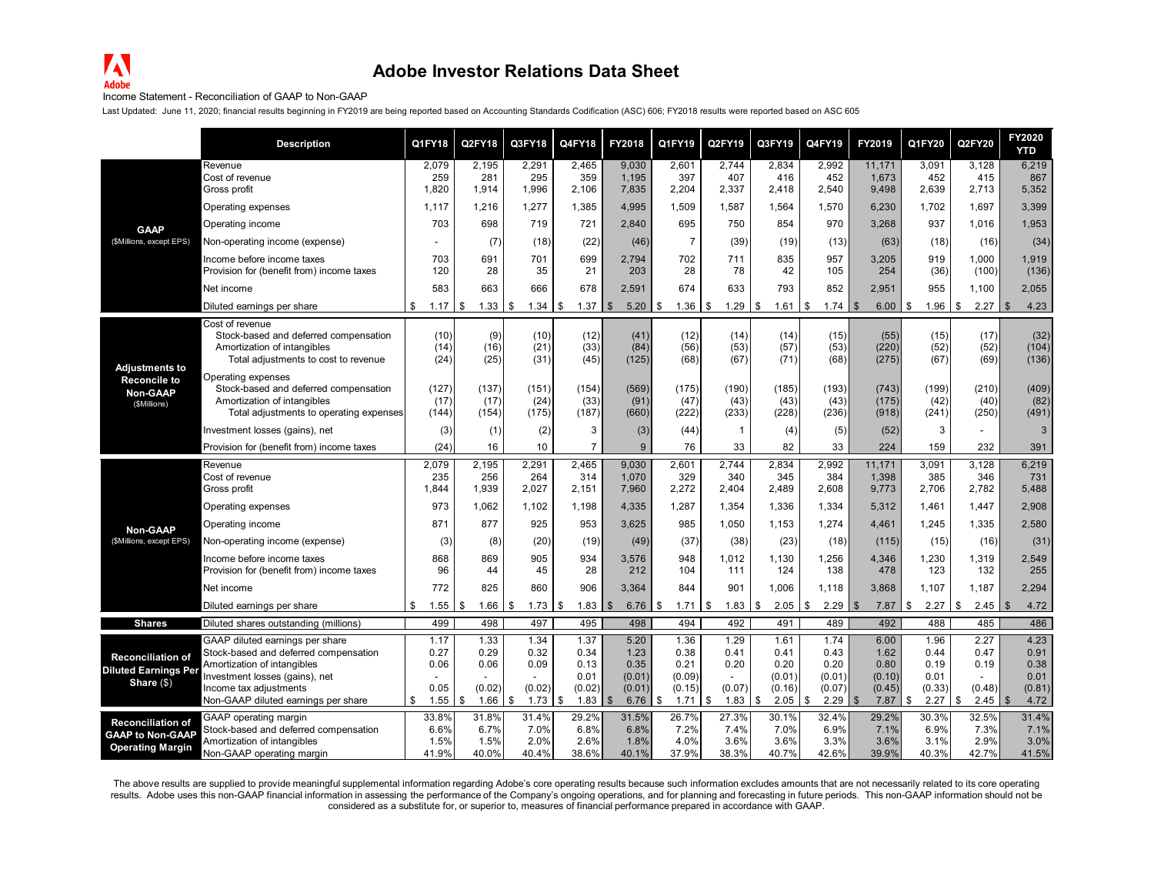## **Adobe Investor Relations Data Sheet**

## Income Statement - Reconciliation of GAAP to Non-GAAP

Last Updated: June 11, 2020; financial results beginning in FY2019 are being reported based on Accounting Standards Codification (ASC) 606; FY2018 results were reported based on ASC 605

|                                                 | <b>Description</b>                                                                                                                    | Q1FY18                 | Q2FY18                 | Q3FY18                 | Q4FY18                 | FY2018                  | Q1FY19                 | Q2FY19                 | Q3FY19                 | Q4FY19                 | FY2019                          | Q1FY20                 | Q2FY20                 | FY2020<br><b>YTD</b>       |
|-------------------------------------------------|---------------------------------------------------------------------------------------------------------------------------------------|------------------------|------------------------|------------------------|------------------------|-------------------------|------------------------|------------------------|------------------------|------------------------|---------------------------------|------------------------|------------------------|----------------------------|
|                                                 | Revenue<br>Cost of revenue<br>Gross profit                                                                                            | 2,079<br>259<br>1,820  | 2,195<br>281<br>1,914  | 2,291<br>295<br>1,996  | 2,465<br>359<br>2,106  | 9.030<br>1,195<br>7,835 | 2,601<br>397<br>2,204  | 2.744<br>407<br>2,337  | 2,834<br>416<br>2.418  | 2.992<br>452<br>2,540  | 11,171<br>1,673<br>9,498        | 3,091<br>452<br>2,639  | 3,128<br>415<br>2,713  | 6,219<br>867<br>5,352      |
|                                                 | Operating expenses                                                                                                                    | 1.117                  | 1,216                  | 1,277                  | 1,385                  | 4,995                   | 1,509                  | 1,587                  | 1,564                  | 1,570                  | 6,230                           | 1.702                  | 1,697                  | 3,399                      |
| <b>GAAP</b>                                     | Operating income                                                                                                                      | 703                    | 698                    | 719                    | 721                    | 2.840                   | 695                    | 750                    | 854                    | 970                    | 3.268                           | 937                    | 1,016                  | 1,953                      |
| (\$Millions, except EPS)                        | Non-operating income (expense)                                                                                                        |                        | (7)                    | (18)                   | (22)                   | (46)                    | $\overline{7}$         | (39)                   | (19)                   | (13)                   | (63)                            | (18)                   | (16)                   | (34)                       |
|                                                 | Income before income taxes<br>Provision for (benefit from) income taxes                                                               | 703<br>120             | 691<br>28              | 701<br>35              | 699<br>21              | 2,794<br>203            | 702<br>28              | 711<br>78              | 835<br>42              | 957<br>105             | 3,205<br>254                    | 919<br>(36)            | 1,000<br>(100)         | 1,919<br>(136)             |
|                                                 | Net income                                                                                                                            | 583                    | 663                    | 666                    | 678                    | 2,591                   | 674                    | 633                    | 793                    | 852                    | 2,951                           | 955                    | 1,100                  | 2,055                      |
|                                                 | Diluted earnings per share                                                                                                            | \$<br>1.17             | 1.33<br>l \$           | \$<br>1.34             | \$<br>1.37             | 5.20<br>\$              | l \$<br>1.36           | \$                     | $1.61$ \ \$            | 1.74                   | $6.00$   \$<br>-\$              | 1.96                   | 2.27<br>\$             | \$<br>4.23                 |
| <b>Adjustments to</b>                           | Cost of revenue<br>Stock-based and deferred compensation<br>Amortization of intangibles<br>Total adjustments to cost to revenue       | (10)<br>(14)<br>(24)   | (9)<br>(16)<br>(25)    | (10)<br>(21)<br>(31)   | (12)<br>(33)<br>(45)   | (41)<br>(84)<br>(125)   | (12)<br>(56)<br>(68)   | (14)<br>(53)<br>(67)   | (14)<br>(57)<br>(71)   | (15)<br>(53)<br>(68)   | (55)<br>(220)<br>(275)          | (15)<br>(52)<br>(67)   | (17)<br>(52)<br>(69)   | (32)<br>(104)<br>(136)     |
| <b>Reconcile to</b><br>Non-GAAP<br>(\$Millions) | Operating expenses<br>Stock-based and deferred compensation<br>Amortization of intangibles<br>Total adjustments to operating expenses | (127)<br>(17)<br>(144) | (137)<br>(17)<br>(154) | (151)<br>(24)<br>(175) | (154)<br>(33)<br>(187) | (569)<br>(91)<br>(660)  | (175)<br>(47)<br>(222) | (190)<br>(43)<br>(233) | (185)<br>(43)<br>(228) | (193)<br>(43)<br>(236) | (743)<br>(175)<br>(918)         | (199)<br>(42)<br>(241) | (210)<br>(40)<br>(250) | (409)<br>(82)<br>(491)     |
|                                                 | Investment losses (gains), net                                                                                                        | (3)                    | (1)                    | (2)                    | 3                      | (3)                     | (44)                   | $\mathbf{1}$           | (4)                    | (5)                    | (52)                            | 3                      |                        | $\sqrt{3}$                 |
|                                                 | Provision for (benefit from) income taxes                                                                                             | (24)                   | 16                     | 10                     | $\overline{7}$         | 9                       | 76                     | 33                     | 82                     | 33                     | 224                             | 159                    | 232                    | 391                        |
|                                                 | Revenue<br>Cost of revenue<br>Gross profit                                                                                            | 2,079<br>235<br>1,844  | 2,195<br>256<br>1,939  | 2,291<br>264<br>2,027  | 2,465<br>314<br>2,151  | 9.030<br>1,070<br>7,960 | 2,601<br>329<br>2,272  | 2,744<br>340<br>2,404  | 2,834<br>345<br>2,489  | 2,992<br>384<br>2,608  | 11,171<br>1,398<br>9,773        | 3,091<br>385<br>2,706  | 3,128<br>346<br>2,782  | 6,219<br>731<br>5,488      |
|                                                 | Operating expenses                                                                                                                    | 973                    | 1,062                  | 1,102                  | 1,198                  | 4,335                   | 1,287                  | 1,354                  | 1,336                  | 1,334                  | 5,312                           | 1,461                  | 1,447                  | 2,908                      |
| <b>Non-GAAP</b>                                 | Operating income                                                                                                                      | 871                    | 877                    | 925                    | 953                    | 3,625                   | 985                    | 1,050                  | 1,153                  | 1,274                  | 4,461                           | 1,245                  | 1,335                  | 2,580                      |
| (\$Millions, except EPS)                        | Non-operating income (expense)                                                                                                        | (3)                    | (8)                    | (20)                   | (19)                   | (49)                    | (37)                   | (38)                   | (23)                   | (18)                   | (115)                           | (15)                   | (16)                   | (31)                       |
|                                                 | Income before income taxes<br>Provision for (benefit from) income taxes                                                               | 868<br>96              | 869<br>44              | 905<br>45              | 934<br>28              | 3,576<br>212            | 948<br>104             | 1,012<br>111           | 1,130<br>124           | 1,256<br>138           | 4,346<br>478                    | 1,230<br>123           | 1,319<br>132           | 2,549<br>255               |
|                                                 | Net income                                                                                                                            | 772                    | 825                    | 860                    | 906                    | 3,364                   | 844                    | 901                    | 1,006                  | 1,118                  | 3,868                           | 1,107                  | 1,187                  | 2,294                      |
|                                                 | Diluted earnings per share                                                                                                            | \$<br>1.55             | 1.66<br>\$             | \$<br>1.73             | 1.83<br>\$             | 6.76<br>\$              | $\sqrt{3}$<br>1.71     | \$<br>$1.83$ \$        | 2.05                   | \$<br>2.29             | $\overline{\mathbf{S}}$<br>7.87 | \$<br>2.27             | \$<br>2.45             | $\mathbf{\hat{s}}$<br>4.72 |
| <b>Shares</b>                                   | Diluted shares outstanding (millions)                                                                                                 | 499                    | 498                    | 497                    | 495                    | 498                     | 494                    | 492                    | 491                    | 489                    | 492                             | 488                    | 485                    | 486                        |
|                                                 | GAAP diluted earnings per share                                                                                                       | 1.17                   | 1.33                   | 1.34                   | 1.37                   | 5.20                    | 1.36                   | 1.29                   | 1.61                   | 1.74                   | 6.00                            | 1.96                   | 2.27                   | 4.23                       |
| <b>Reconciliation of</b>                        | Stock-based and deferred compensation<br>Amortization of intangibles                                                                  | 0.27<br>0.06           | 0.29<br>0.06           | 0.32<br>0.09           | 0.34<br>0.13           | 1.23<br>0.35            | 0.38<br>0.21           | 0.41<br>0.20           | 0.41<br>0.20           | 0.43<br>0.20           | 1.62<br>0.80                    | 0.44<br>0.19           | 0.47<br>0.19           | 0.91<br>0.38               |
| <b>Diluted Earnings Per</b>                     | Investment losses (gains), net                                                                                                        |                        |                        |                        | 0.01                   | (0.01)                  | (0.09)                 |                        | (0.01)                 | (0.01)                 | (0.10)                          | 0.01                   |                        | 0.01                       |
| Share $(\$)$                                    | Income tax adjustments                                                                                                                | 0.05                   | (0.02)                 | (0.02)                 | (0.02)                 | (0.01)                  | (0.15)                 | (0.07)                 | (0.16)                 | (0.07)                 | (0.45)                          | (0.33)                 | (0.48)                 | (0.81)                     |
|                                                 | Non-GAAP diluted earnings per share                                                                                                   | 1.55<br>\$             | 1.66<br>-\$            | \$<br>1.73             | \$<br>1.83             | $$^{\circ}$<br>6.76     | \$<br>1.71             | \$<br>$1.83$ \$        | 2.05                   | \$<br>2.29             | $\sqrt{3}$<br>7.87              | \$<br>2.27             | \$<br>2.45             | $\mathbf{\hat{s}}$<br>4.72 |
| <b>Reconciliation of</b>                        | GAAP operating margin<br>Stock-based and deferred compensation                                                                        | 33.8%<br>6.6%          | 31.8%<br>6.7%          | 31.4%<br>7.0%          | 29.2%<br>6.8%          | 31.5%<br>6.8%           | 26.7%<br>7.2%          | 27.3%<br>7.4%          | 30.1%<br>7.0%          | 32.4%<br>6.9%          | 29.2%<br>7.1%                   | 30.3%<br>6.9%          | 32.5%<br>7.3%          | 31.4%<br>7.1%              |
| <b>GAAP to Non-GAAP</b>                         | Amortization of intangibles                                                                                                           | 1.5%                   | 1.5%                   | 2.0%                   | 2.6%                   | 1.8%                    | 4.0%                   | 3.6%                   | 3.6%                   | 3.3%                   | 3.6%                            | 3.1%                   | 2.9%                   | 3.0%                       |
| <b>Operating Margin</b>                         | Non-GAAP operating margin                                                                                                             | 41.9%                  | 40.0%                  | 40.4%                  | 38.6%                  | 40.1%                   | 37.9%                  | 38.3%                  | 40.7%                  | 42.6%                  | 39.9%                           | 40.3%                  | 42.7%                  | 41.5%                      |

The above results are supplied to provide meaningful supplemental information regarding Adobe's core operating results because such information excludes amounts that are not necessarily related to its core operating results. Adobe uses this non-GAAP financial information in assessing the performance of the Company's ongoing operations, and for planning and forecasting in future periods. This non-GAAP information should not be<br>consider